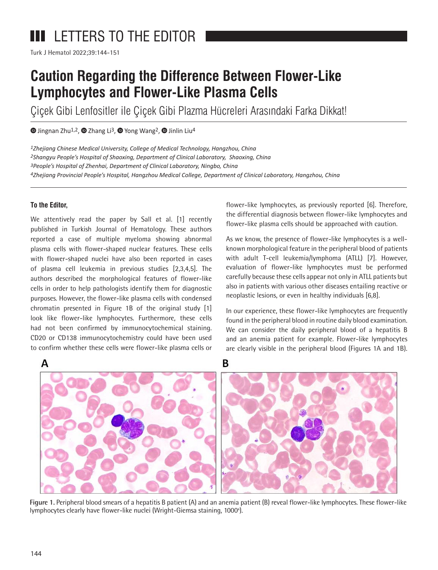# **III** LETTERS TO THE EDITOR

Turk J Hematol 2022;39:144-151

# **Caution Regarding the Difference Between Flower-Like Lymphocytes and Flower-Like Plasma Cells**

Çiçek Gibi Lenfositler ile Çiçek Gibi Plazma Hücreleri Arasındaki Farka Dikkat!

 $\bullet$ Jingnan Zhu<sup>1,2</sup>[,](https://orcid.org/0000-0001-8530-3809)  $\bullet$  Zhang Li<sup>3</sup>,  $\bullet$  Yong Wang<sup>2</sup>,  $\bullet$  Jinlin Liu<sup>4</sup>

*1Zhejiang Chinese Medical University, College of Medical Technology, Hangzhou, China Shangyu People's Hospital of Shaoxing, Department of Clinical Laboratory, Shaoxing, China People's Hospital of Zhenhai, Department of Clinical Laboratory, Ningbo, China Zhejiang Provincial People's Hospital, Hangzhou Medical College, Department of Clinical Laboratory, Hangzhou, China*

## **To the Editor,**

We attentively read the paper by Sall et al. [1] recently published in Turkish Journal of Hematology. These authors reported a case of multiple myeloma showing abnormal plasma cells with flower-shaped nuclear features. These cells with flower-shaped nuclei have also been reported in cases of plasma cell leukemia in previous studies [2,3,4,5]. The authors described the morphological features of flower-like cells in order to help pathologists identify them for diagnostic purposes. However, the flower-like plasma cells with condensed chromatin presented in Figure 1B of the original study [1] look like flower-like lymphocytes. Furthermore, these cells had not been confirmed by immunocytochemical staining. CD20 or CD138 immunocytochemistry could have been used to confirm whether these cells were flower-like plasma cells or

flower-like lymphocytes, as previously reported [6]. Therefore, the differential diagnosis between flower-like lymphocytes and flower-like plasma cells should be approached with caution.

As we know, the presence of flower-like lymphocytes is a wellknown morphological feature in the peripheral blood of patients with adult T-cell leukemia/lymphoma (ATLL) [7]. However, evaluation of flower-like lymphocytes must be performed carefully because these cells appear not only in ATLL patients but also in patients with various other diseases entailing reactive or neoplastic lesions, or even in healthy individuals [6,8].

In our experience, these flower-like lymphocytes are frequently found in the peripheral blood in routine daily blood examination. We can consider the daily peripheral blood of a hepatitis B and an anemia patient for example. Flower-like lymphocytes are clearly visible in the peripheral blood (Figures 1A and 1B).



**Figure 1.** Peripheral blood smears of a hepatitis B patient (A) and an anemia patient (B) reveal flower-like lymphocytes. These flower-like lymphocytes clearly have flower-like nuclei (Wright-Giemsa staining, 1000<sup>x</sup>).